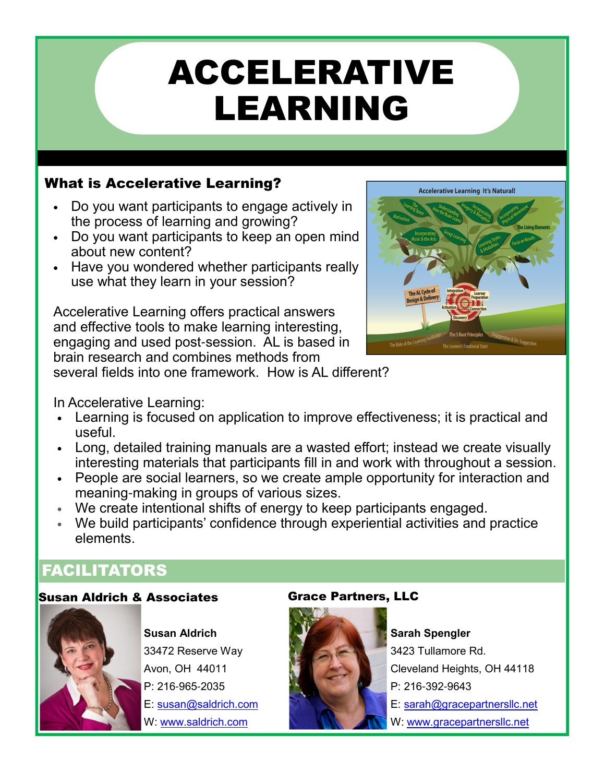# ACCELERATIVE LEARNING

### What is Accelerative Learning?

- Do you want participants to engage actively in the process of learning and growing?
- Do you want participants to keep an open mind about new content?
- Have you wondered whether participants really use what they learn in your session?

Accelerative Learning offers practical answers and effective tools to make learning interesting, engaging and used post-session. AL is based in brain research and combines methods from several fields into one framework. How is AL different?



In Accelerative Learning:

- Learning is focused on application to improve effectiveness; it is practical and useful.
- Long, detailed training manuals are a wasted effort; instead we create visually interesting materials that participants fill in and work with throughout a session.
- People are social learners, so we create ample opportunity for interaction and meaning-making in groups of various sizes.
- We create intentional shifts of energy to keep participants engaged.
- We build participants' confidence through experiential activities and practice elements.

## FACILITATORS

#### Susan Aldrich & Associates **Grace Partners, LLC**



**Susan Aldrich** 33472 Reserve Way Avon, OH 44011 P: 216-965-2035 E: susan@saldrich.com W: www.saldrich.com



**Sarah Spengler** 3423 Tullamore Rd. Cleveland Heights, OH 44118 P: 216-392-9643 E: sarah@gracepartnersllc.net W: www.gracepartnersllc.net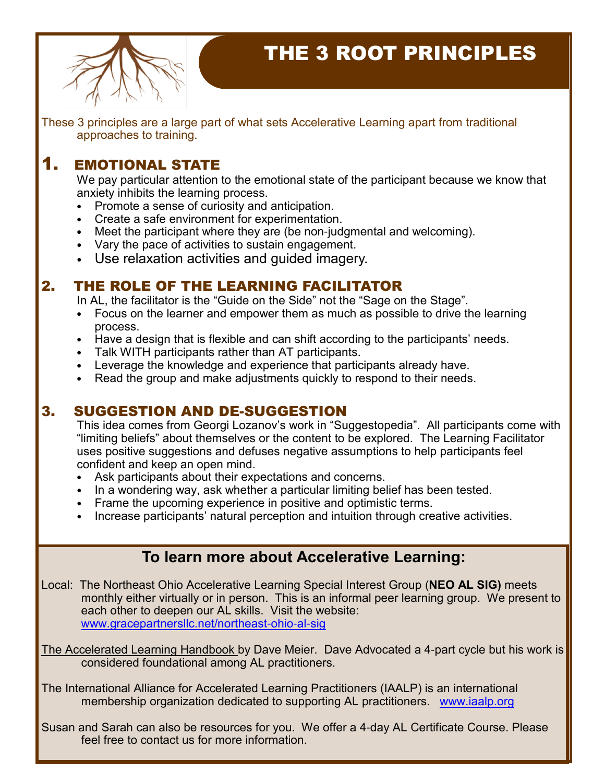

# THE 3 ROOT PRINCIPLES

These 3 principles are a large part of what sets Accelerative Learning apart from traditional approaches to training.

#### 1. EMOTIONAL STATE

We pay particular attention to the emotional state of the participant because we know that anxiety inhibits the learning process.

- Promote a sense of curiosity and anticipation.
- Create a safe environment for experimentation.
- Meet the participant where they are (be non-judgmental and welcoming).
- Vary the pace of activities to sustain engagement.
- Use relaxation activities and guided imagery.

#### 2. THE ROLE OF THE LEARNING FACILITATOR

In AL, the facilitator is the "Guide on the Side" not the "Sage on the Stage".

- Focus on the learner and empower them as much as possible to drive the learning process.
- Have a design that is flexible and can shift according to the participants' needs.
- Talk WITH participants rather than AT participants.
- Leverage the knowledge and experience that participants already have.
- Read the group and make adjustments quickly to respond to their needs.

#### 3. SUGGESTION AND DE-SUGGESTION

This idea comes from Georgi Lozanov's work in "Suggestopedia". All participants come with "limiting beliefs" about themselves or the content to be explored. The Learning Facilitator uses positive suggestions and defuses negative assumptions to help participants feel confident and keep an open mind.

- Ask participants about their expectations and concerns.
- In a wondering way, ask whether a particular limiting belief has been tested.
- Frame the upcoming experience in positive and optimistic terms.
- Increase participants' natural perception and intuition through creative activities.

#### **To learn more about Accelerative Learning:**

Local: The Northeast Ohio Accelerative Learning Special Interest Group (**NEO AL SIG)** meets monthly either virtually or in person. This is an informal peer learning group. We present to each other to deepen our AL skills. Visit the website: www.gracepartnersllc.net/northeast-ohio-al-sig

The Accelerated Learning Handbook by Dave Meier. Dave Advocated a 4-part cycle but his work is considered foundational among AL practitioners.

The International Alliance for Accelerated Learning Practitioners (IAALP) is an international membership organization dedicated to supporting AL practitioners. www.iaalp.org

Susan and Sarah can also be resources for you. We offer a 4-day AL Certificate Course. Please feel free to contact us for more information.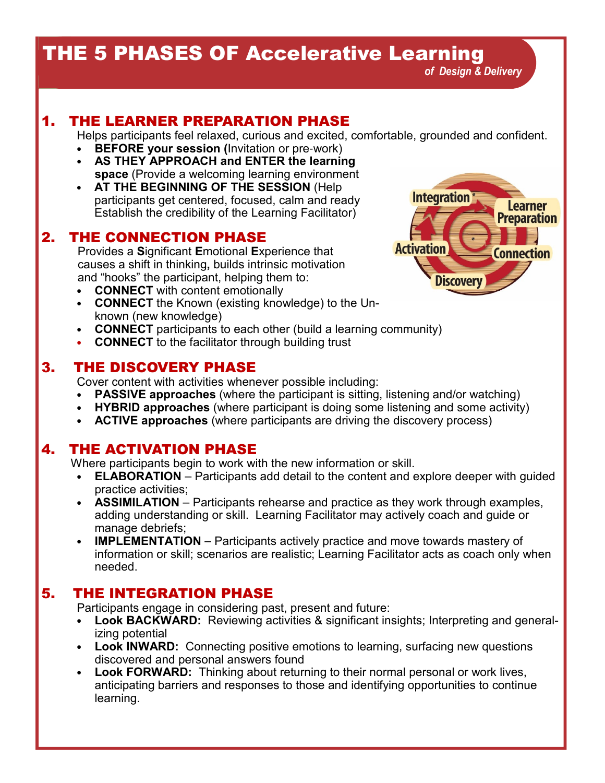# THE 5 PHASES OF Accelerative Learning

#### 1. THE LEARNER PREPARATION PHASE

Helps participants feel relaxed, curious and excited, comfortable, grounded and confident.

- **BEFORE your session (**Invitation or pre-work)
- **AS THEY APPROACH and ENTER the learning space** (Provide a welcoming learning environment
- **AT THE BEGINNING OF THE SESSION** (Help participants get centered, focused, calm and ready Establish the credibility of the Learning Facilitator)

#### 2. THE CONNECTION PHASE

 Provides a **S**ignificant **E**motional **E**xperience that causes a shift in thinking**,** builds intrinsic motivation and "hooks" the participant, helping them to:

- **CONNECT** with content emotionally
- **CONNECT** the Known (existing knowledge) to the Unknown (new knowledge)
- **CONNECT** participants to each other (build a learning community)
- **CONNECT** to the facilitator through building trust

#### 3. THE DISCOVERY PHASE

Cover content with activities whenever possible including:

- **PASSIVE approaches** (where the participant is sitting, listening and/or watching)
- **HYBRID approaches** (where participant is doing some listening and some activity)
- **ACTIVE approaches** (where participants are driving the discovery process)

#### 4. THE ACTIVATION PHASE

Where participants begin to work with the new information or skill.

- **ELABORATION** Participants add detail to the content and explore deeper with guided practice activities;
- **ASSIMILATION** Participants rehearse and practice as they work through examples, adding understanding or skill. Learning Facilitator may actively coach and guide or manage debriefs;
- **IMPLEMENTATION** Participants actively practice and move towards mastery of information or skill; scenarios are realistic; Learning Facilitator acts as coach only when needed.

#### 5. THE INTEGRATION PHASE

Participants engage in considering past, present and future:

- **Look BACKWARD:** Reviewing activities & significant insights; Interpreting and generalizing potential
- **Look INWARD:** Connecting positive emotions to learning, surfacing new questions discovered and personal answers found
- **Look FORWARD:** Thinking about returning to their normal personal or work lives, anticipating barriers and responses to those and identifying opportunities to continue learning.



 *of Design & Delivery*